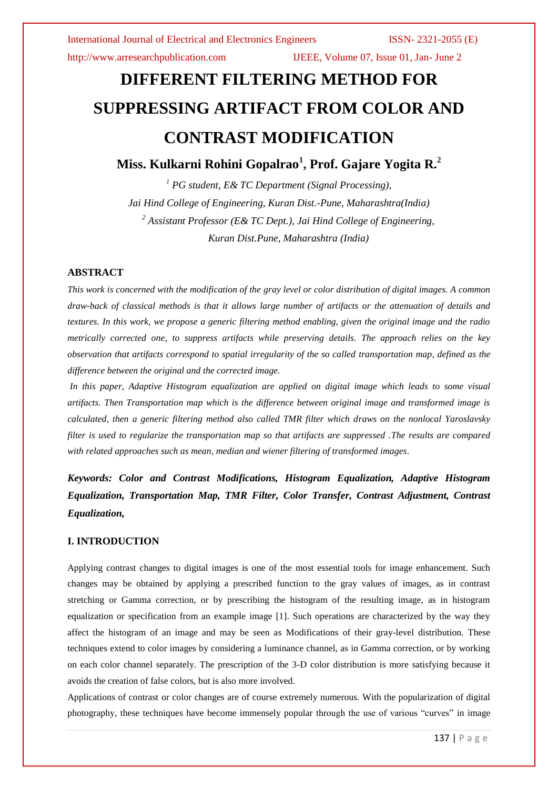http://www.arresearchpublication.com IJEEE, Volume 07, Issue 01, Jan- June 2

# **DIFFERENT FILTERING METHOD FOR SUPPRESSING ARTIFACT FROM COLOR AND CONTRAST MODIFICATION**

**Miss. Kulkarni Rohini Gopalrao<sup>1</sup> , Prof. Gajare Yogita R.<sup>2</sup>**

*<sup>1</sup> PG student, E& TC Department (Signal Processing), Jai Hind College of Engineering, Kuran Dist.-Pune, Maharashtra(India) <sup>2</sup> Assistant Professor (E& TC Dept.), Jai Hind College of Engineering, Kuran Dist.Pune, Maharashtra (India)*

# **ABSTRACT**

*This work is concerned with the modification of the gray level or color distribution of digital images. A common draw-back of classical methods is that it allows large number of artifacts or the attenuation of details and textures. In this work, we propose a generic filtering method enabling, given the original image and the radio metrically corrected one, to suppress artifacts while preserving details. The approach relies on the key observation that artifacts correspond to spatial irregularity of the so called transportation map, defined as the difference between the original and the corrected image.*

*In this paper, Adaptive Histogram equalization are applied on digital image which leads to some visual artifacts. Then Transportation map which is the difference between original image and transformed image is calculated, then a generic filtering method also called TMR filter which draws on the nonlocal Yaroslavsky filter is used to regularize the transportation map so that artifacts are suppressed .The results are compared with related approaches such as mean, median and wiener filtering of transformed images.*

*Keywords: Color and Contrast Modifications, Histogram Equalization, Adaptive Histogram Equalization, Transportation Map, TMR Filter, Color Transfer, Contrast Adjustment, Contrast Equalization,* 

# **I. INTRODUCTION**

Applying contrast changes to digital images is one of the most essential tools for image enhancement. Such changes may be obtained by applying a prescribed function to the gray values of images, as in contrast stretching or Gamma correction, or by prescribing the histogram of the resulting image, as in histogram equalization or specification from an example image [1]. Such operations are characterized by the way they affect the histogram of an image and may be seen as Modifications of their gray-level distribution. These techniques extend to color images by considering a luminance channel, as in Gamma correction, or by working on each color channel separately. The prescription of the 3-D color distribution is more satisfying because it avoids the creation of false colors, but is also more involved.

Applications of contrast or color changes are of course extremely numerous. With the popularization of digital photography, these techniques have become immensely popular through the use of various "curves" in image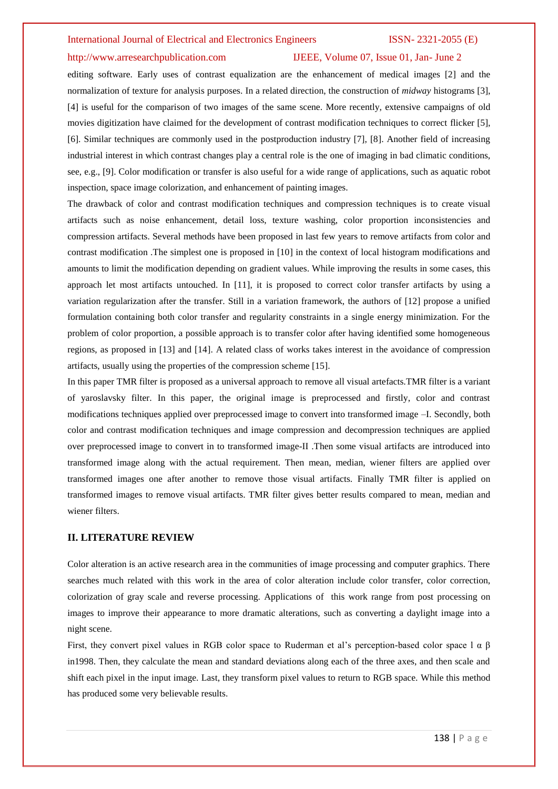### http://www.arresearchpublication.com IJEEE, Volume 07, Issue 01, Jan- June 2

editing software. Early uses of contrast equalization are the enhancement of medical images [2] and the normalization of texture for analysis purposes. In a related direction, the construction of *midway* histograms [3], [4] is useful for the comparison of two images of the same scene. More recently, extensive campaigns of old movies digitization have claimed for the development of contrast modification techniques to correct flicker [5], [6]. Similar techniques are commonly used in the postproduction industry [7], [8]. Another field of increasing industrial interest in which contrast changes play a central role is the one of imaging in bad climatic conditions, see, e.g., [9]. Color modification or transfer is also useful for a wide range of applications, such as aquatic robot inspection, space image colorization, and enhancement of painting images.

The drawback of color and contrast modification techniques and compression techniques is to create visual artifacts such as noise enhancement, detail loss, texture washing, color proportion inconsistencies and compression artifacts. Several methods have been proposed in last few years to remove artifacts from color and contrast modification .The simplest one is proposed in [10] in the context of local histogram modifications and amounts to limit the modification depending on gradient values. While improving the results in some cases, this approach let most artifacts untouched. In [11], it is proposed to correct color transfer artifacts by using a variation regularization after the transfer. Still in a variation framework, the authors of [12] propose a unified formulation containing both color transfer and regularity constraints in a single energy minimization. For the problem of color proportion, a possible approach is to transfer color after having identified some homogeneous regions, as proposed in [13] and [14]. A related class of works takes interest in the avoidance of compression artifacts, usually using the properties of the compression scheme [15].

In this paper TMR filter is proposed as a universal approach to remove all visual artefacts.TMR filter is a variant of yaroslavsky filter. In this paper, the original image is preprocessed and firstly, color and contrast modifications techniques applied over preprocessed image to convert into transformed image –I. Secondly, both color and contrast modification techniques and image compression and decompression techniques are applied over preprocessed image to convert in to transformed image-II .Then some visual artifacts are introduced into transformed image along with the actual requirement. Then mean, median, wiener filters are applied over transformed images one after another to remove those visual artifacts. Finally TMR filter is applied on transformed images to remove visual artifacts. TMR filter gives better results compared to mean, median and wiener filters.

# **II. LITERATURE REVIEW**

Color alteration is an active research area in the communities of image processing and computer graphics. There searches much related with this work in the area of color alteration include color transfer, color correction, colorization of gray scale and reverse processing. Applications of this work range from post processing on images to improve their appearance to more dramatic alterations, such as converting a daylight image into a night scene.

First, they convert pixel values in RGB color space to Ruderman et al's perception-based color space  $1 \alpha \beta$ in1998. Then, they calculate the mean and standard deviations along each of the three axes, and then scale and shift each pixel in the input image. Last, they transform pixel values to return to RGB space. While this method has produced some very believable results.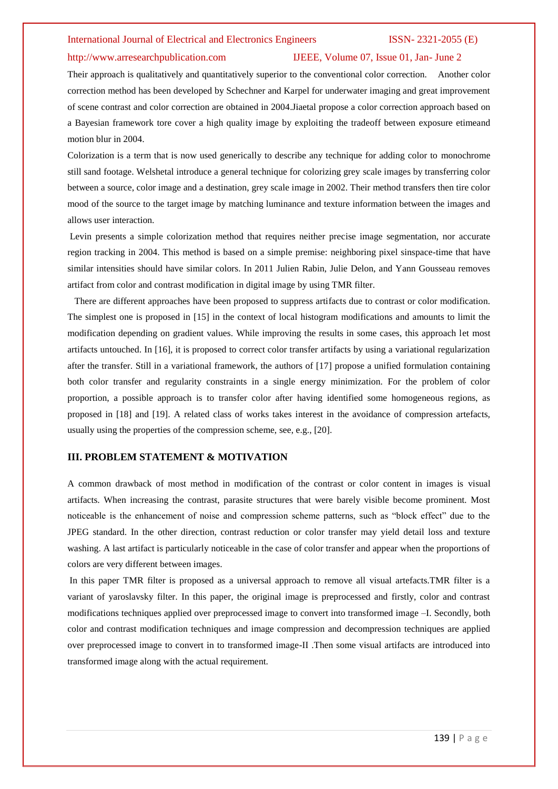### http://www.arresearchpublication.com IJEEE, Volume 07, Issue 01, Jan- June 2

Their approach is qualitatively and quantitatively superior to the conventional color correction. Another color correction method has been developed by Schechner and Karpel for underwater imaging and great improvement of scene contrast and color correction are obtained in 2004.Jiaetal propose a color correction approach based on a Bayesian framework tore cover a high quality image by exploiting the tradeoff between exposure etimeand motion blur in 2004.

Colorization is a term that is now used generically to describe any technique for adding color to monochrome still sand footage. Welshetal introduce a general technique for colorizing grey scale images by transferring color between a source, color image and a destination, grey scale image in 2002. Their method transfers then tire color mood of the source to the target image by matching luminance and texture information between the images and allows user interaction.

Levin presents a simple colorization method that requires neither precise image segmentation, nor accurate region tracking in 2004. This method is based on a simple premise: neighboring pixel sinspace-time that have similar intensities should have similar colors. In 2011 Julien Rabin, Julie Delon, and Yann Gousseau removes artifact from color and contrast modification in digital image by using TMR filter.

 There are different approaches have been proposed to suppress artifacts due to contrast or color modification. The simplest one is proposed in [15] in the context of local histogram modifications and amounts to limit the modification depending on gradient values. While improving the results in some cases, this approach let most artifacts untouched. In [16], it is proposed to correct color transfer artifacts by using a variational regularization after the transfer. Still in a variational framework, the authors of [17] propose a unified formulation containing both color transfer and regularity constraints in a single energy minimization. For the problem of color proportion, a possible approach is to transfer color after having identified some homogeneous regions, as proposed in [18] and [19]. A related class of works takes interest in the avoidance of compression artefacts, usually using the properties of the compression scheme, see, e.g., [20].

# **III. PROBLEM STATEMENT & MOTIVATION**

A common drawback of most method in modification of the contrast or color content in images is visual artifacts. When increasing the contrast, parasite structures that were barely visible become prominent. Most noticeable is the enhancement of noise and compression scheme patterns, such as "block effect" due to the JPEG standard. In the other direction, contrast reduction or color transfer may yield detail loss and texture washing. A last artifact is particularly noticeable in the case of color transfer and appear when the proportions of colors are very different between images.

In this paper TMR filter is proposed as a universal approach to remove all visual artefacts.TMR filter is a variant of yaroslavsky filter. In this paper, the original image is preprocessed and firstly, color and contrast modifications techniques applied over preprocessed image to convert into transformed image –I. Secondly, both color and contrast modification techniques and image compression and decompression techniques are applied over preprocessed image to convert in to transformed image-II .Then some visual artifacts are introduced into transformed image along with the actual requirement.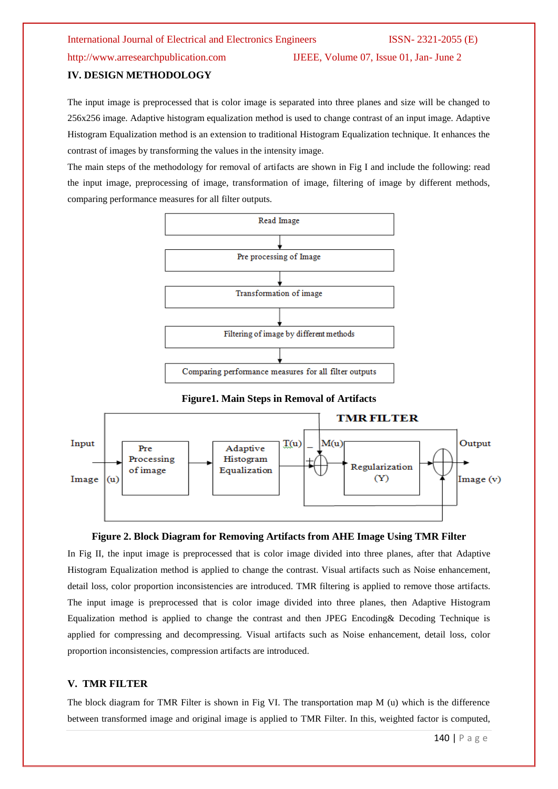# http://www.arresearchpublication.com IJEEE, Volume 07, Issue 01, Jan- June 2

### **IV. DESIGN METHODOLOGY**

The input image is preprocessed that is color image is separated into three planes and size will be changed to 256x256 image. Adaptive histogram equalization method is used to change contrast of an input image. Adaptive Histogram Equalization method is an extension to traditional Histogram Equalization technique. It enhances the contrast of images by transforming the values in the intensity image.

The main steps of the methodology for removal of artifacts are shown in Fig I and include the following: read the input image, preprocessing of image, transformation of image, filtering of image by different methods, comparing performance measures for all filter outputs.



### **Figure1. Main Steps in Removal of Artifacts**



#### **Figure 2. Block Diagram for Removing Artifacts from AHE Image Using TMR Filter**

In Fig II, the input image is preprocessed that is color image divided into three planes, after that Adaptive Histogram Equalization method is applied to change the contrast. Visual artifacts such as Noise enhancement, detail loss, color proportion inconsistencies are introduced. TMR filtering is applied to remove those artifacts. The input image is preprocessed that is color image divided into three planes, then Adaptive Histogram Equalization method is applied to change the contrast and then JPEG Encoding& Decoding Technique is applied for compressing and decompressing. Visual artifacts such as Noise enhancement, detail loss, color proportion inconsistencies, compression artifacts are introduced.

# **V. TMR FILTER**

The block diagram for TMR Filter is shown in Fig VI. The transportation map M (u) which is the difference between transformed image and original image is applied to TMR Filter. In this, weighted factor is computed,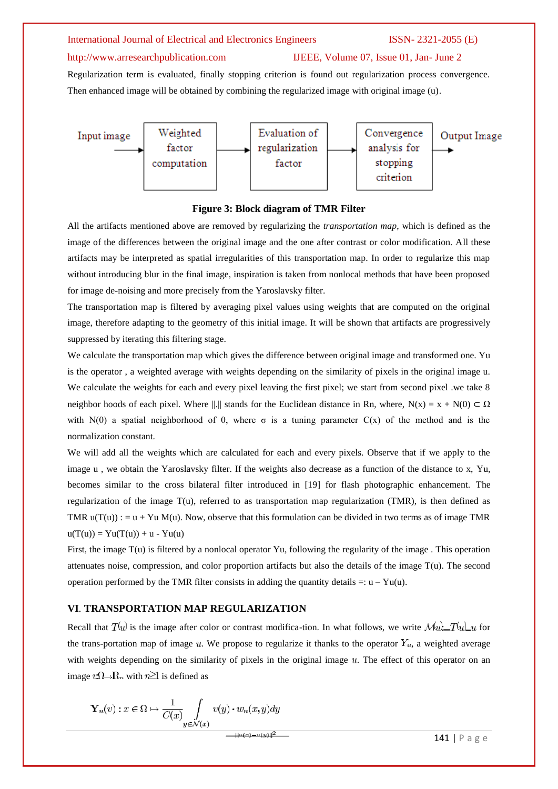http://www.arresearchpublication.com IJEEE, Volume 07, Issue 01, Jan- June 2

Regularization term is evaluated, finally stopping criterion is found out regularization process convergence. Then enhanced image will be obtained by combining the regularized image with original image (u).



### **Figure 3: Block diagram of TMR Filter**

All the artifacts mentioned above are removed by regularizing the *transportation map*, which is defined as the image of the differences between the original image and the one after contrast or color modification. All these artifacts may be interpreted as spatial irregularities of this transportation map. In order to regularize this map without introducing blur in the final image, inspiration is taken from nonlocal methods that have been proposed for image de-noising and more precisely from the Yaroslavsky filter.

The transportation map is filtered by averaging pixel values using weights that are computed on the original image, therefore adapting to the geometry of this initial image. It will be shown that artifacts are progressively suppressed by iterating this filtering stage.

We calculate the transportation map which gives the difference between original image and transformed one. Yu is the operator , a weighted average with weights depending on the similarity of pixels in the original image u. We calculate the weights for each and every pixel leaving the first pixel; we start from second pixel .we take 8 neighbor hoods of each pixel. Where ||.|| stands for the Euclidean distance in Rn, where,  $N(x) = x + N(0) \subset \Omega$ with N(0) a spatial neighborhood of 0, where  $\sigma$  is a tuning parameter C(x) of the method and is the normalization constant.

We will add all the weights which are calculated for each and every pixels. Observe that if we apply to the image u , we obtain the Yaroslavsky filter. If the weights also decrease as a function of the distance to x, Yu, becomes similar to the cross bilateral filter introduced in [19] for flash photographic enhancement. The regularization of the image T(u), referred to as transportation map regularization (TMR), is then defined as TMR  $u(T(u)) := u + Yu M(u)$ . Now, observe that this formulation can be divided in two terms as of image TMR  $u(T(u)) = Yu(T(u)) + u - Yu(u)$ 

First, the image T(u) is filtered by a nonlocal operator Yu, following the regularity of the image . This operation attenuates noise, compression, and color proportion artifacts but also the details of the image T(u). The second operation performed by the TMR filter consists in adding the quantity details  $=: u - Yu(u)$ .

# **VI***.* **TRANSPORTATION MAP REGULARIZATION**

Recall that  $T(u)$  is the image after color or contrast modifica-tion. In what follows, we write  $\mathcal{M}u = T(u)u$  for the trans-portation map of image u. We propose to regularize it thanks to the operator  $Y_u$ , a weighted average with weights depending on the similarity of pixels in the original image  $u$ . The effect of this operator on an image  $v \Omega \rightarrow \mathbb{R}_n$  with  $n \geq 1$  is defined as

$$
\mathbf{Y}_u(v): x\in \Omega \mapsto \frac{1}{C(x)}\int\limits_{y\in \mathcal{N}(x)}v(y)\cdot w_u(x,y)dy\ \underset{=\parallel u(x)=u(y)\parallel^2}{=}
$$

141 | P a g e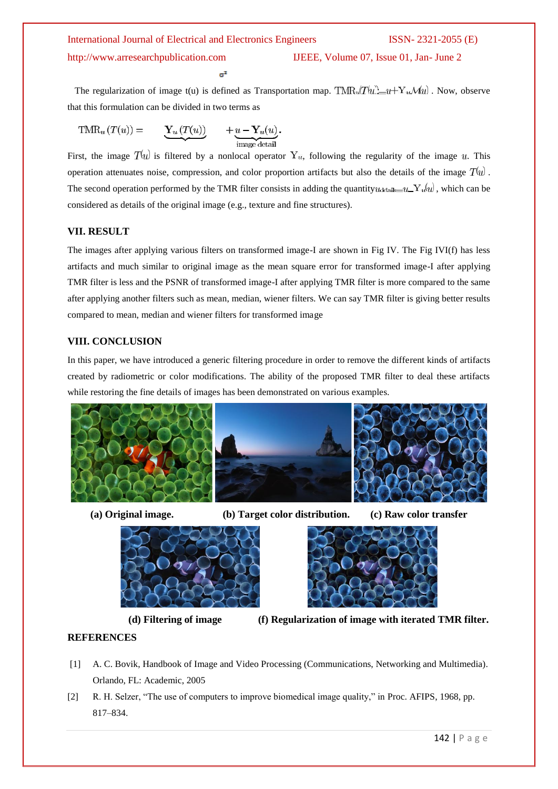International Journal of Electrical and Electronics Engineers ISSN- 2321-2055 (E) http://www.arresearchpublication.com IJEEE, Volume 07, Issue 01, Jan- June 2

$$
\mathbb{R}^2
$$

The regularization of image t(u) is defined as Transportation map.  $\text{TMR}_{u}(T(u)) = u + Y_u \mathcal{M}(u)$ . Now, observe that this formulation can be divided in two terms as

$$
\text{TMR}_{u}\left(T(u)\right) = \qquad \underbrace{\mathbf{Y}_{u}\left(T(u)\right)}_{\text{image detail}} + \underbrace{u - \mathbf{Y}_{u}(u)}_{\text{image detail}}.
$$

First, the image  $T(u)$  is filtered by a nonlocal operator  $Y_u$ , following the regularity of the image u. This operation attenuates noise, compression, and color proportion artifacts but also the details of the image  $T(u)$ . The second operation performed by the TMR filter consists in adding the quantity  $u_{\text{data}} = u_{\text{max}} Y_u(u)$ , which can be considered as details of the original image (e.g., texture and fine structures).

# **VII. RESULT**

The images after applying various filters on transformed image-I are shown in Fig IV. The Fig IVI(f) has less artifacts and much similar to original image as the mean square error for transformed image-I after applying TMR filter is less and the PSNR of transformed image-I after applying TMR filter is more compared to the same after applying another filters such as mean, median, wiener filters. We can say TMR filter is giving better results compared to mean, median and wiener filters for transformed image

# **VIII. CONCLUSION**

In this paper, we have introduced a generic filtering procedure in order to remove the different kinds of artifacts created by radiometric or color modifications. The ability of the proposed TMR filter to deal these artifacts while restoring the fine details of images has been demonstrated on various examples.





**(a) Original image. (b) Target color distribution. (c) Raw color transfer**



 **(d) Filtering of image (f) Regularization of image with iterated TMR filter.**

# **REFERENCES**

- [1] A. C. Bovik, Handbook of Image and Video Processing (Communications, Networking and Multimedia). Orlando, FL: Academic, 2005
- [2] R. H. Selzer, "The use of computers to improve biomedical image quality," in Proc. AFIPS, 1968, pp. 817–834.